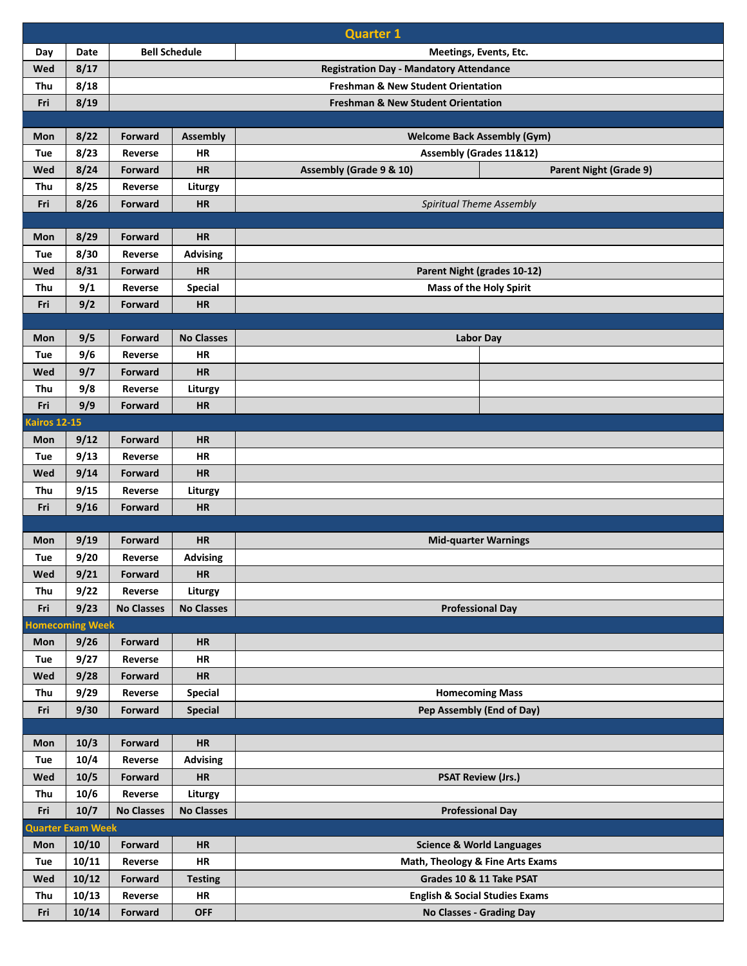|                     | <b>Quarter 1</b>         |                                                |                                                |                                                          |  |  |
|---------------------|--------------------------|------------------------------------------------|------------------------------------------------|----------------------------------------------------------|--|--|
| Day                 | <b>Date</b>              | <b>Bell Schedule</b><br>Meetings, Events, Etc. |                                                |                                                          |  |  |
| Wed                 | 8/17                     |                                                | <b>Registration Day - Mandatory Attendance</b> |                                                          |  |  |
| Thu                 | 8/18                     | <b>Freshman &amp; New Student Orientation</b>  |                                                |                                                          |  |  |
| Fri                 | 8/19                     |                                                | <b>Freshman &amp; New Student Orientation</b>  |                                                          |  |  |
|                     |                          |                                                |                                                |                                                          |  |  |
| Mon                 | 8/22                     | Forward                                        | <b>Assembly</b>                                | <b>Welcome Back Assembly (Gym)</b>                       |  |  |
| Tue                 | 8/23                     | Reverse                                        | <b>HR</b>                                      | <b>Assembly (Grades 11&amp;12)</b>                       |  |  |
| Wed                 | 8/24                     | Forward                                        | <b>HR</b>                                      | Assembly (Grade 9 & 10)<br><b>Parent Night (Grade 9)</b> |  |  |
| Thu                 | 8/25                     | Reverse                                        | Liturgy                                        |                                                          |  |  |
| Fri                 | 8/26                     | Forward                                        | <b>HR</b>                                      | Spiritual Theme Assembly                                 |  |  |
|                     |                          |                                                |                                                |                                                          |  |  |
| Mon                 | 8/29                     | Forward                                        | <b>HR</b>                                      |                                                          |  |  |
| Tue                 | 8/30                     | Reverse                                        | <b>Advising</b>                                |                                                          |  |  |
| Wed                 | 8/31                     | <b>Forward</b>                                 | <b>HR</b>                                      | Parent Night (grades 10-12)                              |  |  |
| Thu                 | 9/1                      | Reverse                                        | <b>Special</b>                                 | <b>Mass of the Holy Spirit</b>                           |  |  |
| Fri                 | 9/2                      | <b>Forward</b>                                 | <b>HR</b>                                      |                                                          |  |  |
|                     |                          |                                                |                                                |                                                          |  |  |
| Mon                 | 9/5                      | Forward                                        | <b>No Classes</b>                              | <b>Labor Day</b>                                         |  |  |
| Tue                 | 9/6                      | Reverse                                        | HR                                             |                                                          |  |  |
| Wed                 | 9/7                      | Forward                                        | <b>HR</b>                                      |                                                          |  |  |
| Thu                 | 9/8                      | Reverse                                        | Liturgy                                        |                                                          |  |  |
| Fri                 | 9/9                      | <b>Forward</b>                                 | <b>HR</b>                                      |                                                          |  |  |
| <b>Kairos 12-15</b> |                          |                                                |                                                |                                                          |  |  |
| Mon                 | 9/12                     | Forward                                        | <b>HR</b>                                      |                                                          |  |  |
| Tue                 | 9/13                     | Reverse                                        | <b>HR</b>                                      |                                                          |  |  |
| Wed                 | 9/14                     | Forward                                        | <b>HR</b>                                      |                                                          |  |  |
| Thu                 | 9/15                     | Reverse                                        | Liturgy                                        |                                                          |  |  |
| Fri                 | 9/16                     | Forward                                        | <b>HR</b>                                      |                                                          |  |  |
|                     |                          |                                                | <b>HR</b>                                      |                                                          |  |  |
| Mon                 | 9/19<br>9/20             | Forward<br>Reverse                             |                                                | <b>Mid-quarter Warnings</b>                              |  |  |
| Tue                 |                          |                                                | <b>Advising</b>                                |                                                          |  |  |
| Wed<br>Thu          | 9/21<br>9/22             | Forward<br>Reverse                             | <b>HR</b><br>Liturgy                           |                                                          |  |  |
| Fri                 | 9/23                     | <b>No Classes</b>                              | <b>No Classes</b>                              |                                                          |  |  |
|                     | <b>Homecoming Week</b>   |                                                |                                                | <b>Professional Day</b>                                  |  |  |
| Mon                 | 9/26                     | Forward                                        | <b>HR</b>                                      |                                                          |  |  |
| Tue                 | 9/27                     | Reverse                                        | HR                                             |                                                          |  |  |
| Wed                 | 9/28                     | Forward                                        | HR                                             |                                                          |  |  |
| Thu                 | 9/29                     | Reverse                                        | <b>Special</b>                                 | <b>Homecoming Mass</b>                                   |  |  |
| Fri                 | 9/30                     | <b>Forward</b>                                 | <b>Special</b>                                 | Pep Assembly (End of Day)                                |  |  |
|                     |                          |                                                |                                                |                                                          |  |  |
| Mon                 | 10/3                     | Forward                                        | <b>HR</b>                                      |                                                          |  |  |
| Tue                 | 10/4                     | Reverse                                        | <b>Advising</b>                                |                                                          |  |  |
| Wed                 | 10/5                     | Forward                                        | HR                                             | <b>PSAT Review (Jrs.)</b>                                |  |  |
| Thu                 | 10/6                     | Reverse                                        | Liturgy                                        |                                                          |  |  |
| Fri                 | 10/7                     | <b>No Classes</b>                              | <b>No Classes</b>                              | <b>Professional Day</b>                                  |  |  |
|                     | <b>Quarter Exam Week</b> |                                                |                                                |                                                          |  |  |
| Mon                 | 10/10                    | Forward                                        | <b>HR</b>                                      | <b>Science &amp; World Languages</b>                     |  |  |
| Tue                 | 10/11                    | Reverse                                        | <b>HR</b>                                      | Math, Theology & Fine Arts Exams                         |  |  |
| Wed                 | 10/12                    | Forward                                        | <b>Testing</b>                                 | Grades 10 & 11 Take PSAT                                 |  |  |
| Thu                 | 10/13                    | Reverse                                        | HR                                             | <b>English &amp; Social Studies Exams</b>                |  |  |
| Fri                 | 10/14                    | Forward                                        | <b>OFF</b>                                     | No Classes - Grading Day                                 |  |  |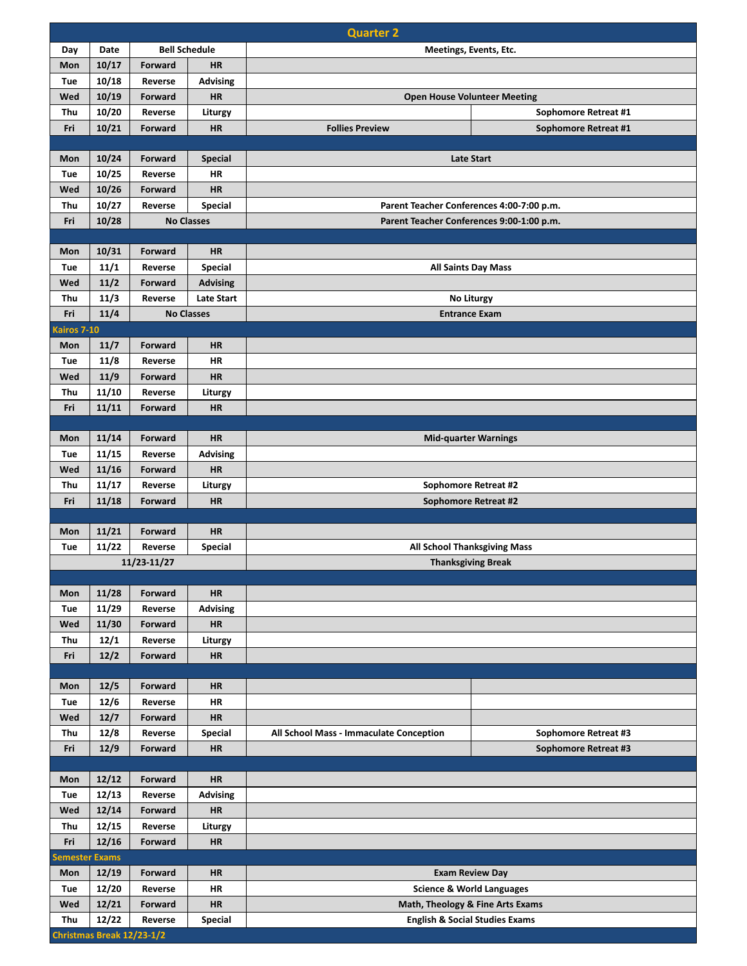|                       | <b>Quarter 2</b> |                              |                              |                                                                  |                             |  |  |  |
|-----------------------|------------------|------------------------------|------------------------------|------------------------------------------------------------------|-----------------------------|--|--|--|
| Day                   | Date             | <b>Bell Schedule</b>         |                              | <b>Meetings, Events, Etc.</b>                                    |                             |  |  |  |
| Mon                   | 10/17            | Forward                      | <b>HR</b>                    |                                                                  |                             |  |  |  |
| Tue                   | 10/18            | Reverse                      | <b>Advising</b>              |                                                                  |                             |  |  |  |
| Wed                   | 10/19            | Forward                      | <b>HR</b>                    | <b>Open House Volunteer Meeting</b>                              |                             |  |  |  |
| Thu                   | 10/20            | Reverse                      | Liturgy                      |                                                                  | Sophomore Retreat #1        |  |  |  |
| Fri                   | 10/21            | Forward                      | <b>HR</b>                    | <b>Follies Preview</b><br>Sophomore Retreat #1                   |                             |  |  |  |
|                       |                  |                              |                              |                                                                  |                             |  |  |  |
| Mon                   | 10/24            | Forward                      | <b>Special</b>               | <b>Late Start</b>                                                |                             |  |  |  |
| Tue                   | 10/25            | Reverse                      | <b>HR</b>                    |                                                                  |                             |  |  |  |
| Wed                   | 10/26            | Forward                      | <b>HR</b>                    |                                                                  |                             |  |  |  |
| Thu<br>Fri            | 10/27            | Reverse<br><b>No Classes</b> | <b>Special</b>               | Parent Teacher Conferences 4:00-7:00 p.m.                        |                             |  |  |  |
|                       | 10/28            |                              |                              | Parent Teacher Conferences 9:00-1:00 p.m.                        |                             |  |  |  |
| Mon                   | 10/31            | Forward                      | <b>HR</b>                    |                                                                  |                             |  |  |  |
| Tue                   | 11/1             | Reverse                      | <b>Special</b>               |                                                                  |                             |  |  |  |
| Wed                   | 11/2             | Forward                      | <b>Advising</b>              | <b>All Saints Day Mass</b>                                       |                             |  |  |  |
| Thu                   | 11/3             | Reverse                      | <b>Late Start</b>            | No Liturgy                                                       |                             |  |  |  |
| Fri                   | 11/4             |                              | <b>No Classes</b>            | <b>Entrance Exam</b>                                             |                             |  |  |  |
| Kairos 7-10           |                  |                              |                              |                                                                  |                             |  |  |  |
| Mon                   | 11/7             | Forward                      | <b>HR</b>                    |                                                                  |                             |  |  |  |
| Tue                   | 11/8             | Reverse                      | <b>HR</b>                    |                                                                  |                             |  |  |  |
| Wed                   | 11/9             | Forward                      | <b>HR</b>                    |                                                                  |                             |  |  |  |
| Thu                   | 11/10            | Reverse                      | Liturgy                      |                                                                  |                             |  |  |  |
| Fri                   | 11/11            | Forward                      | <b>HR</b>                    |                                                                  |                             |  |  |  |
|                       |                  |                              |                              |                                                                  |                             |  |  |  |
| Mon                   | 11/14            | Forward                      | <b>HR</b>                    |                                                                  | <b>Mid-quarter Warnings</b> |  |  |  |
| Tue                   | 11/15            | Reverse                      | Advising                     |                                                                  |                             |  |  |  |
| Wed                   | 11/16            | Forward                      | HR                           |                                                                  |                             |  |  |  |
| Thu                   | 11/17            | Reverse                      | Liturgy                      | Sophomore Retreat #2                                             |                             |  |  |  |
| Fri                   | 11/18            | Forward                      | <b>HR</b>                    | <b>Sophomore Retreat #2</b>                                      |                             |  |  |  |
| Mon                   | 11/21            | Forward                      | <b>HR</b>                    |                                                                  |                             |  |  |  |
| Tue                   | 11/22            | Reverse                      | <b>Special</b>               |                                                                  |                             |  |  |  |
|                       |                  | 11/23-11/27                  |                              | <b>All School Thanksgiving Mass</b><br><b>Thanksgiving Break</b> |                             |  |  |  |
|                       |                  |                              |                              |                                                                  |                             |  |  |  |
| Mon                   | 11/28            | Forward                      | <b>HR</b>                    |                                                                  |                             |  |  |  |
| Tue                   | 11/29            | Reverse                      | <b>Advising</b>              |                                                                  |                             |  |  |  |
| Wed                   | 11/30            | Forward                      | HR                           |                                                                  |                             |  |  |  |
| Thu                   | 12/1             | Reverse                      | Liturgy                      |                                                                  |                             |  |  |  |
| Fri                   | 12/2             | Forward                      | <b>HR</b>                    |                                                                  |                             |  |  |  |
|                       |                  |                              |                              |                                                                  |                             |  |  |  |
| Mon                   | 12/5             | Forward                      | <b>HR</b>                    |                                                                  |                             |  |  |  |
| Tue                   | 12/6             | Reverse                      | <b>HR</b>                    |                                                                  |                             |  |  |  |
| Wed                   | 12/7             | Forward                      | <b>HR</b>                    |                                                                  |                             |  |  |  |
| Thu                   | 12/8             | Reverse                      | <b>Special</b>               | All School Mass - Immaculate Conception                          | Sophomore Retreat #3        |  |  |  |
| Fri                   | 12/9             | Forward                      | <b>HR</b>                    |                                                                  | Sophomore Retreat #3        |  |  |  |
|                       | 12/12            | Forward                      | <b>HR</b>                    |                                                                  |                             |  |  |  |
| Mon                   |                  |                              |                              |                                                                  |                             |  |  |  |
| Tue<br>Wed            | 12/13<br>12/14   | Reverse<br>Forward           | <b>Advising</b><br><b>HR</b> |                                                                  |                             |  |  |  |
| Thu                   | 12/15            | Reverse                      | Liturgy                      |                                                                  |                             |  |  |  |
| Fri                   | 12/16            | Forward                      | <b>HR</b>                    |                                                                  |                             |  |  |  |
| <b>Semester Exams</b> |                  |                              |                              |                                                                  |                             |  |  |  |
| Mon                   | 12/19            | Forward                      | <b>HR</b>                    |                                                                  |                             |  |  |  |
| Tue                   | 12/20            | Reverse                      | <b>HR</b>                    | <b>Exam Review Day</b><br><b>Science &amp; World Languages</b>   |                             |  |  |  |
| Wed                   | 12/21            | Forward                      | <b>HR</b>                    | Math, Theology & Fine Arts Exams                                 |                             |  |  |  |
| Thu                   | 12/22            | Reverse                      | Special                      | <b>English &amp; Social Studies Exams</b>                        |                             |  |  |  |
|                       |                  | Christmas Break 12/23-1/2    |                              |                                                                  |                             |  |  |  |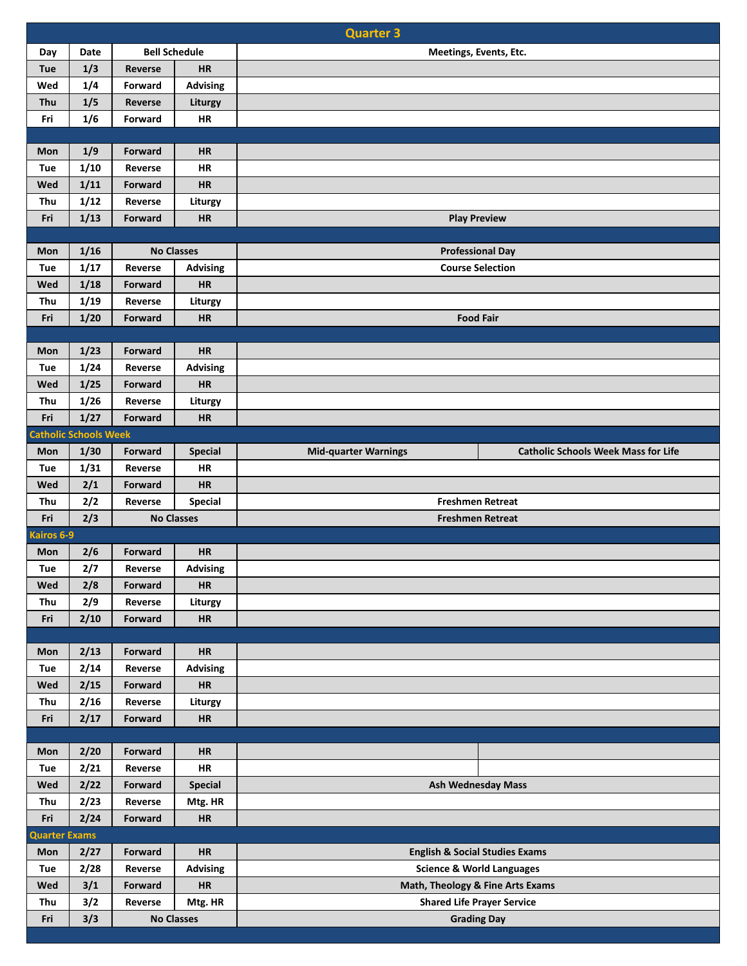|                      | <b>Quarter 3</b>             |                    |                      |                                      |                                            |  |  |
|----------------------|------------------------------|--------------------|----------------------|--------------------------------------|--------------------------------------------|--|--|
| Day                  | Date                         |                    | <b>Bell Schedule</b> | Meetings, Events, Etc.               |                                            |  |  |
| Tue                  | 1/3                          | Reverse            | HR                   |                                      |                                            |  |  |
| Wed                  | 1/4                          | Forward            | <b>Advising</b>      |                                      |                                            |  |  |
| Thu                  | 1/5                          | Reverse            | Liturgy              |                                      |                                            |  |  |
| Fri                  | 1/6                          | Forward            | HR                   |                                      |                                            |  |  |
|                      |                              |                    |                      |                                      |                                            |  |  |
| Mon                  | 1/9                          | <b>Forward</b>     | <b>HR</b>            |                                      |                                            |  |  |
| Tue                  | 1/10                         | Reverse            | HR                   |                                      |                                            |  |  |
| Wed                  | 1/11                         | Forward            | HR                   |                                      |                                            |  |  |
| Thu                  | 1/12                         | Reverse            | Liturgy              |                                      |                                            |  |  |
| Fri                  | 1/13                         | Forward            | HR                   | <b>Play Preview</b>                  |                                            |  |  |
|                      |                              |                    |                      |                                      |                                            |  |  |
| Mon                  | 1/16                         |                    | <b>No Classes</b>    | <b>Professional Day</b>              |                                            |  |  |
| Tue                  | 1/17                         | Reverse            | <b>Advising</b>      | <b>Course Selection</b>              |                                            |  |  |
| Wed                  | 1/18                         | Forward            | <b>HR</b>            |                                      |                                            |  |  |
| Thu                  | 1/19                         | Reverse            | Liturgy              |                                      |                                            |  |  |
| Fri                  | 1/20                         | Forward            | HR                   |                                      | <b>Food Fair</b>                           |  |  |
|                      |                              |                    |                      |                                      |                                            |  |  |
| Mon                  | 1/23                         | Forward            | <b>HR</b>            |                                      |                                            |  |  |
| Tue                  | 1/24                         | Reverse            | <b>Advising</b>      |                                      |                                            |  |  |
| Wed                  | 1/25                         | Forward            | <b>HR</b>            |                                      |                                            |  |  |
| Thu                  | 1/26                         | Reverse            | Liturgy              |                                      |                                            |  |  |
| Fri                  | 1/27                         | Forward            | HR                   |                                      |                                            |  |  |
|                      | <b>Catholic Schools Week</b> |                    |                      |                                      |                                            |  |  |
| Mon                  | 1/30                         | Forward            | Special<br>HR        | <b>Mid-quarter Warnings</b>          | <b>Catholic Schools Week Mass for Life</b> |  |  |
| Tue<br>Wed           | 1/31<br>2/1                  | Reverse<br>Forward | <b>HR</b>            |                                      |                                            |  |  |
| Thu                  | 2/2                          | Reverse            | <b>Special</b>       | <b>Freshmen Retreat</b>              |                                            |  |  |
| Fri                  | 2/3                          |                    | <b>No Classes</b>    | <b>Freshmen Retreat</b>              |                                            |  |  |
| Kairos 6-9           |                              |                    |                      |                                      |                                            |  |  |
| Mon                  | 2/6                          | Forward            | <b>HR</b>            |                                      |                                            |  |  |
| <b>Tue</b>           | 2/7                          | Reverse            | <b>Advising</b>      |                                      |                                            |  |  |
| Wed                  | 2/8                          | Forward            | HR                   |                                      |                                            |  |  |
| Thu                  | 2/9                          | Reverse            | Liturgy              |                                      |                                            |  |  |
| Fri                  | 2/10                         | Forward            | <b>HR</b>            |                                      |                                            |  |  |
|                      |                              |                    |                      |                                      |                                            |  |  |
| Mon                  | 2/13                         | Forward            | HR                   |                                      |                                            |  |  |
| Tue                  | 2/14                         | Reverse            | <b>Advising</b>      |                                      |                                            |  |  |
| Wed                  | 2/15                         | Forward            | HR                   |                                      |                                            |  |  |
| Thu                  | 2/16                         | Reverse            | Liturgy              |                                      |                                            |  |  |
| Fri                  | 2/17                         | Forward            | HR                   |                                      |                                            |  |  |
|                      |                              |                    |                      |                                      |                                            |  |  |
| Mon                  | 2/20                         | Forward            | HR                   |                                      |                                            |  |  |
| Tue                  | 2/21                         | Reverse            | HR                   |                                      |                                            |  |  |
| Wed                  | 2/22                         | Forward            | <b>Special</b>       |                                      | <b>Ash Wednesday Mass</b>                  |  |  |
| Thu                  | 2/23                         | Reverse            | Mtg. HR              |                                      |                                            |  |  |
| Fri                  | 2/24                         | Forward            | HR                   |                                      |                                            |  |  |
| <b>Quarter Exams</b> |                              |                    |                      |                                      |                                            |  |  |
| Mon                  | 2/27                         | Forward            | HR                   |                                      | <b>English &amp; Social Studies Exams</b>  |  |  |
| Tue                  | 2/28                         | Reverse            | <b>Advising</b>      | <b>Science &amp; World Languages</b> |                                            |  |  |
| Wed                  | 3/1                          | Forward            | HR                   | Math, Theology & Fine Arts Exams     |                                            |  |  |
| Thu                  | 3/2                          | Reverse            | Mtg. HR              | <b>Shared Life Prayer Service</b>    |                                            |  |  |
| Fri                  | 3/3                          |                    | <b>No Classes</b>    |                                      | <b>Grading Day</b>                         |  |  |